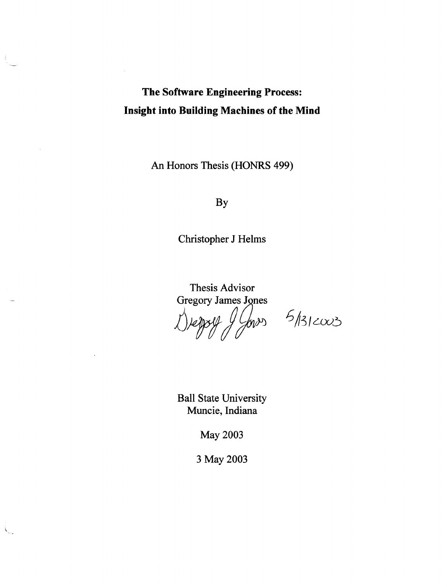# **The Software Engineering Process: Insight into Building Machines of the Mind**

An Honors Thesis (HONRS 499)

By

Christopher J Helms

Thesis Advisor<br>Gregory James Jones report dl

 $\frac{1}{900}$  5/312003

Ball State University Muncie, Indiana

May 2003

3 May 2003

 $\mathcal{N}_{\mathcal{A}}$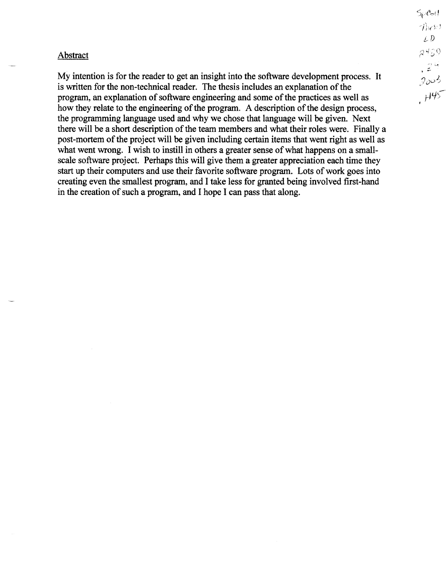#### Abstract

My intention is for the reader to get an insight into the software development process. It is written for the non-technical reader. The thesis includes an explanation of the program, an explanation of software engineering and some of the practices as well as how they relate to the engineering of the program. A description of the design process, the programming language used and why we chose that language will be given. Next there will be a short description of the team members and what their roles were. Finally a post-mortem of the project will be given including certain items that went right as well as what went wrong. I wish to instill in others a greater sense of what happens on a smallscale software project. Perhaps this will give them a greater appreciation each time they start up their computers and use their favorite software program. Lots of work goes into creating even the smallest program, and I take less for granted being involved first-hand in the creation of such a program, and I hope I can pass that along.

 $5\rho$ Coll  $\n *1*$  $LD$  $2459$ , ~. 2005  $H45$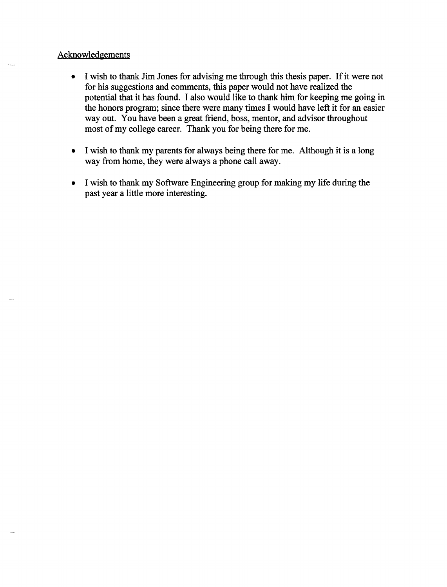# Acknowledgements

- I wish to thank Jim Jones for advising me through this thesis paper. If it were not for his suggestions and comments, this paper would not have realized the potential that it has found. I also would like to thank him for keeping me going in the honors program; since there were many times I would have left it for an easier way out. You have been a great friend, boss, mentor, and advisor throughout most of my college career. Thank you for being there for me.
- I wish to thank my parents for always being there for me. Although it is a long way from home, they were always a phone call away.
- I wish to thank my Software Engineering group for making my life during the past year a little more interesting.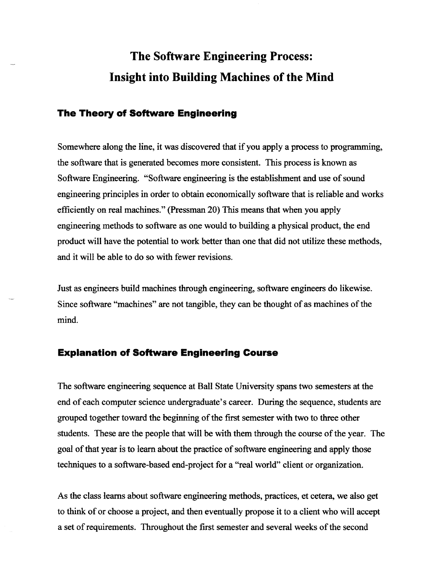# **The Software Engineering Process: Insight into Building Machines of the Mind**

# **The Theory of Software Engineering**

Somewhere along the line, it was discovered that if you apply a process to programming, the software that is generated becomes more consistent. This process is known as Software Engineering. "Software engineering is the establishment and use of sound engineering principles in order to obtain economically software that is reliable and works efficiently on real machines." (Pressman 20) This means that when you apply engineering methods to software as one would to building a physical product, the end product will have the potential to work better than one that did not utilize these methods, and it will be able to do so with fewer revisions.

Just as engineers build machines through engineering, software engineers do likewise. Since software "machines" are not tangible, they can be thought of as machines of the mind.

## **Explanation of Software Engineering Course**

The software engineering sequence at Ball State University spans two semesters at the end of each computer science undergraduate's career. During the sequence, students are grouped together toward the beginning of the first semester with two to three other students. These are the people that will be with them through the course of the year. The goal of that year is to learn about the practice of software engineering and apply those techniques to a software-based end-project for a "real world" client or organization.

As the class learns about software engineering methods, practices, et cetera, we also get to think of or choose a project, and then eventually propose it to a client who will accept a set of requirements. Throughout the fIrst semester and several weeks of the second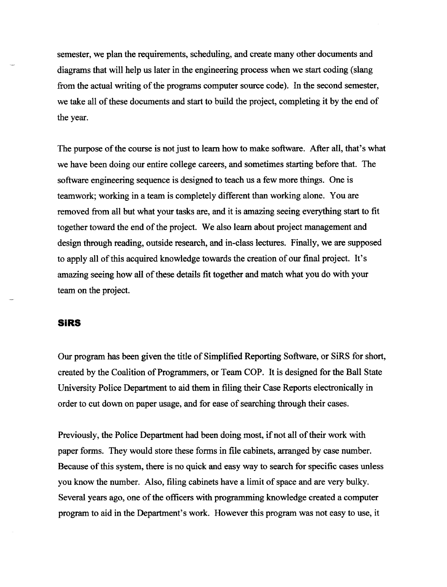semester, we plan the requirements, scheduling, and create many other documents and diagrams that will help us later in the engineering process when we start coding (slang from the actual writing of the programs computer source code). In the second semester, we take all of these documents and start to build the project, completing it by the end of the year.

The purpose of the course is not just to learn how to make software. After all, that's what we have been doing our entire college careers, and sometimes starting before that. The software engineering sequence is designed to teach us a few more things. One is teamwork; working in a team is completely different than working alone. You are removed from all but what your tasks are, and it is amazing seeing everything start to fit together toward the end of the project. We also learn about project management and design through reading, outside research, and in-class lectures. Finally, we are supposed to apply all of this acquired knowledge towards the creation of our final project. It's amazing seeing how all of these details fit together and match what you do with your team on the project.

## **SIRS**

Our program has been given the title of Simplified Reporting Software, or SiRS for short, created by the Coalition of Programmers, or Team COP. It is designed for the Ball State University Police Department to aid them in filing their Case Reports electronically in order to cut down on paper usage, and for ease of searching through their cases.

Previously, the Police Department had been doing most, if not all of their work with paper forms. They would store these forms in file cabinets, arranged by case number. Because of this system, there is no quick and easy way to search for specific cases unless you know the number. Also, filing cabinets have a limit of space and are very bulky. Several years ago, one of the officers with programming knowledge created a computer program to aid in the Department's work. However this program was not easy to use, it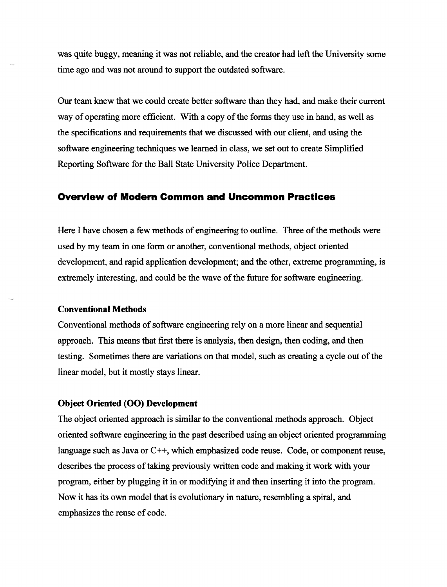was quite buggy, meaning it was not reliable, and the creator had left the University some time ago and was not around to support the outdated software.

Our team knew that we could create better software than they had, and make their current way of operating more efficient. With a copy of the forms they use in hand, as well as the specifications and requirements that we discussed with our client, and using the software engineering techniques we learned in class, we set out to create Simplified Reporting Software for the Ball State University Police Department.

# **Overview of Modem Common and Uncommon Practices**

Here I have chosen a few methods of engineering to outline. Three of the methods were used by my team in one form or another, conventional methods, object oriented development, and rapid application development; and the other, extreme programming, is extremely interesting, and could be the wave of the future for software engineering.

#### **Conventional Methods**

Conventional methods of software engineering rely on a more linear and sequential approach. This means that first there is analysis, then design, then coding, and then testing. Sometimes there are variations on that model, such as creating a cycle out of the linear model, but it mostly stays linear.

## **Object Oriented (00) Development**

The object oriented approach is similar to the conventional methods approach. Object oriented software engineering in the past described using an object oriented programming language such as Java or C++, which emphasized code reuse. Code, or component reuse, describes the process of taking previously written code and making it work with your program, either by plugging it in or modifying it and then inserting it into the program. Now it has its own model that is evolutionary in nature, resembling a spiral, and emphasizes the reuse of code.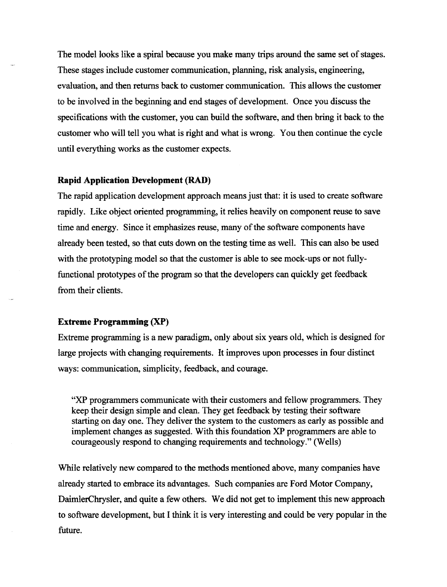The model looks like a spiral because you make many trips around the same set of stages. These stages include customer communication, planning, risk analysis, engineering, evaluation, and then returns back to customer communication. This allows the customer to be involved in the beginning and end stages of development. Once you discuss the specifications with the customer, you can build the software, and then bring it back to the customer who will tell you what is right and what is wrong. You then continue the cycle until everything works as the customer expects.

#### **Rapid Application Development** (RAD)

The rapid application development approach means just that: it is used to create software rapidly. Like object oriented programming, it relies heavily on component reuse to save time and energy. Since it emphasizes reuse, many of the software components have already been tested, so that cuts down on the testing time as well. This can also be used with the prototyping model so that the customer is able to see mock-ups or not fullyfunctional prototypes of the program so that the developers can quickly get feedback from their clients.

## Extreme **Programming (XP)**

Extreme programming is a new paradigm, only about six years old, which is designed for large projects with changing requirements. It improves upon processes in four distinct ways: communication, simplicity, feedback, and courage.

"XP programmers communicate with their customers and fellow programmers. They keep their design simple and clean. They get feedback by testing their software starting on day one. They deliver the system to the customers as early as possible and implement changes as suggested. With this foundation XP programmers are able to courageously respond to changing requirements and technology." (Wells)

While relatively new compared to the methods mentioned above, many companies have already started to embrace its advantages. Such companies are Ford Motor Company, DaimlerChrysler, and quite a few others. We did not get to implement this new approach to software development, but I think it is very interesting and could be very popular in the future.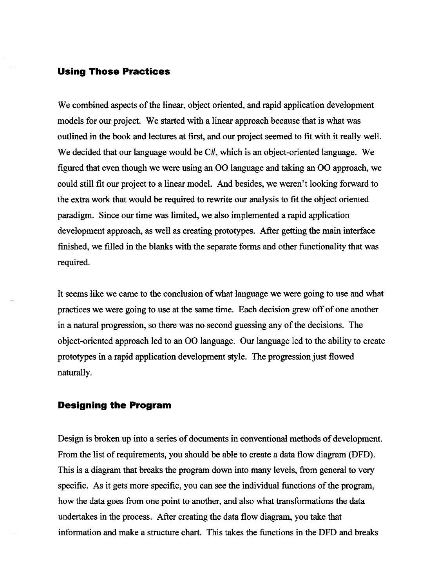# **Using Those Practices**

We combined aspects of the linear, object oriented, and rapid application development models for our project. We started with a linear approach because that is what was outlined in the book and lectures at first, and our project seemed to fit with it really well. We decided that our language would be  $C#$ , which is an object-oriented language. We figured that even though we were using an 00 language and taking an 00 approach, we could still fit our project to a linear model. And besides, we weren't looking forward to the extra work that would be required to rewrite our analysis to fit the object oriented paradigm. Since our time was limited, we also implemented a rapid application development approach, as well as creating prototypes. After getting the main interface finished, we filled in the blanks with the separate forms and other functionality that was required.

It seems like we came to the conclusion of what language we were going to use and what practices we were going to use at the same time. Each decision grew off of one another in a natural progression, so there was no second guessing any of the decisions. The object-oriented approach led to an 00 language. Our language led to the ability to create prototypes in a rapid application development style. The progression just flowed naturally.

## **Designing the Program**

Design is broken up into a series of documents in conventional methods of development. From the list of requirements, you should be able to create a data flow diagram (DFD). This is a diagram that breaks the program down into many levels, from general to very specific. As it gets more specific, you can see the individual functions of the program, how the data goes from one point to another, and also what transformations the data undertakes in the process. After creating the data flow diagram, you take that information and make a structure chart. This takes the functions in the DFD and breaks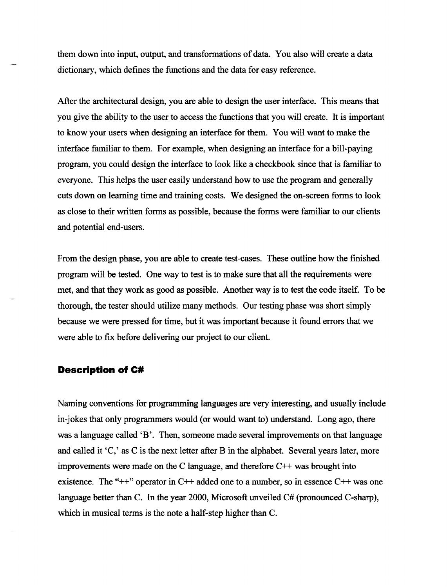them down into input, output, and transfonnations of data. You also will create a data dictionary, which defines the functions and the data for easy reference.

After the architectural design, you are able to design the user interface. This means that you give the ability to the user to access the functions that you will create. It is important to know your users when designing an interface for them. You will want to make the interface familiar to them. For example, when designing an interface for a bill-paying program, you could design the interface to look like a checkbook since that is familiar to everyone. This helps the user easily understand how to use the program and generally cuts down on learning time and training costs. We designed the on-screen fonns to look as close to their written forms as possible, because the forms were familiar to our clients and potential end-users.

From the design phase, you are able to create test-cases. These outline how the finished program will be tested. One way to test is to make sure that all the requirements were met, and that they work as good as possible. Another way is to test the code itself. To be thorough, the tester should utilize many methods. Our testing phase was short simply because we were pressed for time, but it was important because it found errors that we were able to fix before delivering our project to our client.

## **Description of C#**

Naming conventions for programming languages are very interesting, and usually include in-jokes that only programmers would (or would want to) understand. Long ago, there was a language called 'B'. Then, someone made several improvements on that language and called it 'C,' as C is the next letter after B in the alphabet. Several years later, more improvements were made on the C language, and therefore  $C++$  was brought into existence. The "++" operator in C++ added one to a number, so in essence C++ was one language better than C. In the year 2000, Microsoft unveiled C# (pronounced C-sharp), which in musical terms is the note a half-step higher than C.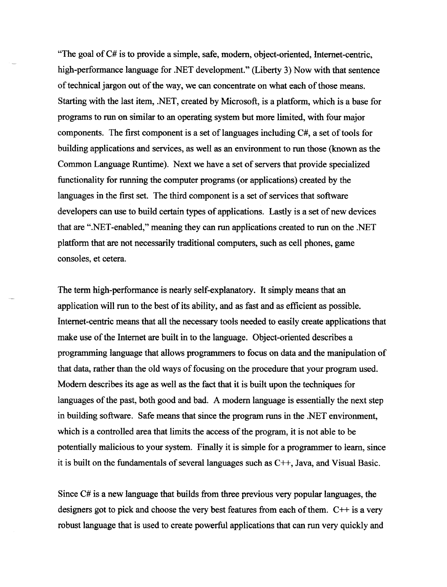"The goal of C# is to provide a simple, safe, modem, object-oriented, Internet-centric, high-performance language for .NET development." (Liberty 3) Now with that sentence of technical jargon out of the way, we can concentrate on what each of those means. Starting with the last item, .NET, created by Microsoft, is a platform, which is a base for programs to run on similar to an operating system but more limited, with four major components. The first component is a set of languages including C#, a set of tools for building applications and services, as well as an environment to run those (known as the Common Language Runtime). Next we have a set of servers that provide specialized functionality for running the computer programs (or applications) created by the languages in the first set. The third component is a set of services that software developers can use to build certain types of applications. Lastly is a set of new devices that are ".NET-enabled," meaning they can run applications created to run on the .NET platform that are not necessarily traditional computers, such as cell phones, game consoles, et cetera.

The term high-performance is nearly self-explanatory. It simply means that an application will run to the best of its ability, and as fast and as efficient as possible. Internet-centric means that all the necessary tools needed to easily create applications that make use of the Internet are built in to the language. Object-oriented describes a programming language that allows programmers to focus on data and the manipulation of that data, rather than the old ways of focusing on the procedure that your program used. Modem describes its age as well as the fact that it is built upon the techniques for languages of the past, both good and bad. A modem language is essentially the next step in building software. Safe means that since the program runs in the .NET environment, which is a controlled area that limits the access of the program, it is not able to be potentially malicious to your system. Finally it is simple for a programmer to learn, since it is built on the fundamentals of several languages such as  $C++$ , Java, and Visual Basic.

Since C# is a new language that builds from three previous very popular languages, the designers got to pick and choose the very best features from each of them.  $C++$  is a very robust language that is used to create powerful applications that can run very quickly and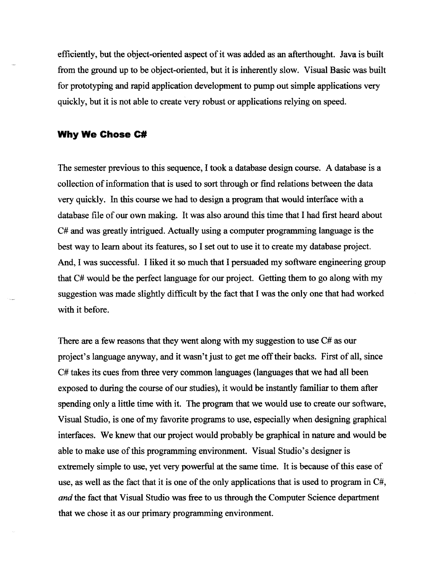efficiently, but the object-oriented aspect of it was added as an afterthought. Java is built from the ground up to be object-oriented, but it is inherently slow. Visual Basic was built for prototyping and rapid application development to pump out simple applications very quickly, but it is not able to create very robust or applications relying on speed.

## **Why We Chose C#**

The semester previous to this sequence, I took a database design course. A database is a collection of information that is used to sort through or find relations between the data very quickly. In this course we had to design a program that would interface with a database file of our own making. It was also around this time that I had first heard about C# and was greatly intrigued. Actually using a computer programming language is the best way to learn about its features, so I set out to use it to create my database project. And, I was successful. I liked it so much that I persuaded my software engineering group that C# would be the perfect language for our project. Getting them to go along with my suggestion was made slightly difficult by the fact that I was the only one that had worked with it before.

There are a few reasons that they went along with my suggestion to use C# as our project's language anyway, and it wasn't just to get me off their backs. First of all, since C# takes its cues from three very common languages (languages that we had all been exposed to during the course of our studies), it would be instantly familiar to them after spending only a little time with it. The program that we would use to create our software, Visual Studio, is one of my favorite programs to use, especially when designing graphical interfaces. We knew that our project would probably be graphical in nature and would be able to make use of this programming environment. Visual Studio's designer is extremely simple to use, yet very powerful at the same time. It is because of this ease of use, as well as the fact that it is one of the only applications that is used to program in  $C\#$ , *and* the fact that Visual Studio was free to us through the Computer Science department that we chose it as our primary programming environment.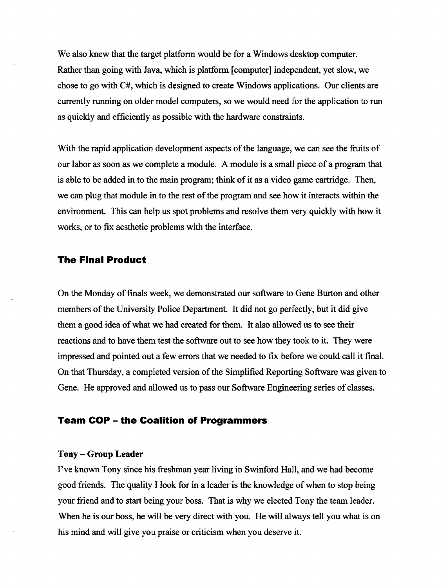We also knew that the target platform would be for a Windows desktop computer. Rather than going with Java, which is platform [computer] independent, yet slow, we chose to go with C#, which is designed to create Windows applications. Our clients are currently running on older model computers, so we would need for the application to run as quickly and efficiently as possible with the hardware constraints.

With the rapid application development aspects of the language, we can see the fruits of our labor as soon as we complete a module. A module is a small piece of a program that is able to be added in to the main program; think of it as a video game cartridge. Then, we can plug that module in to the rest of the program and see how it interacts within the environment. This can help us spot problems and resolve them very quickly with how it works, or to fix aesthetic problems with the interface.

# **The Final Product**

On the Monday of finals week, we demonstrated our software to Gene Burton and other members of the University Police Department. It did not go perfectly, but it did give them a good idea of what we had created for them. It also allowed us to see their reactions and to have them test the software out to see how they took to it. They were impressed and pointed out a few errors that we needed to fix before we could call it final. On that Thursday, a completed version ofthe Simplified Reporting Software was given to Gene. He approved and allowed us to pass our Software Engineering series of classes.

# **Team COP - the Coalition of Programmers**

#### **Tony-Group Leader**

I've known Tony since his freshman year living in Swinford Hall, and we had become good friends. The quality I look for in a leader is the knowledge of when to stop being your friend and to start being your boss. That is why we elected Tony the team leader. When he is our boss, he will be very direct with you. He will always tell you what is on his mind and will give you praise or criticism when you deserve it.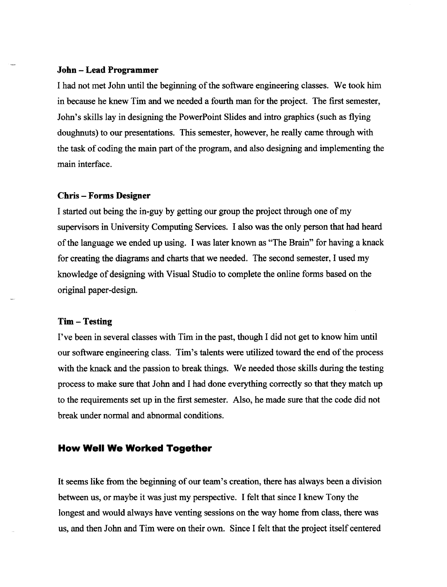#### **John - Lead Programmer**

I had not met John until the beginning of the software engineering classes. We took him in because he knew Tim and we needed a fourth man for the project. The first semester, John's skills lay in designing the PowerPoint Slides and intro graphics (such as flying doughnuts) to our presentations. This semester, however, he really came through with the task of coding the main part of the program, and also designing and implementing the main interface.

#### **Chris - Forms Designer**

I started out being the in-guy by getting our group the project through one of my supervisors in University Computing Services. I also was the only person that had heard of the language we ended up using. I was later known as "The Brain" for having a knack for creating the diagrams and charts that we needed. The second semester, I used my knowledge of designing with Visual Studio to complete the online forms based on the original paper-design.

#### **Tim - Testing**

I've been in several classes with Tim in the past, though I did not get to know him until our software engineering class. Tim's talents were utilized toward the end of the process with the knack and the passion to break things. We needed those skills during the testing process to make sure that John and I had done everything correctly so that they match up to the requirements set up in the first semester. Also, he made sure that the code did not break under normal and abnormal conditions.

## **How Well We Worked Together**

It seems like from the beginning of our team's creation, there has always been a division between us, or maybe it was just my perspective. I felt that since I knew Tony the longest and would always have venting sessions on the way home from class, there was us, and then John and Tim were on their own. Since I felt that the project itself centered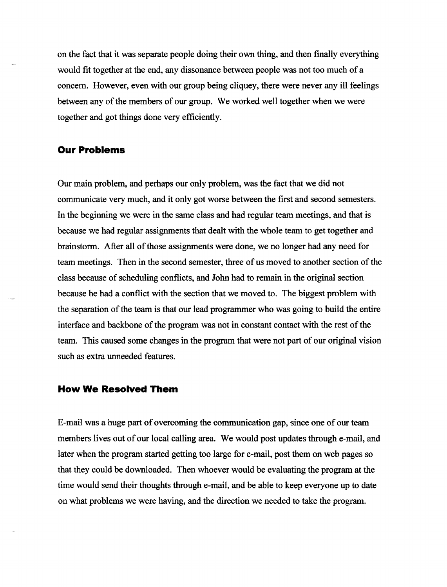on the fact that it was separate people doing their own thing, and then finally everything would fit together at the end, any dissonance between people was not too much of a concern. However, even with our group being cliquey, there were never any ill feelings between any of the members of our group. We worked well together when we were together and got things done very efficiently.

## **Our Problems**

Our main problem, and perhaps our only problem, was the fact that we did not communicate very much, and it only got worse between the first and second semesters. In the beginning we were in the same class and had regular team meetings, and that is because we had regular assignments that dealt with the whole team to get together and brainstorm. After all of those assignments were done, we no longer had any need for team meetings. Then in the second semester, three of us moved to another section of the class because of scheduling conflicts, and John had to remain in the original section because he had a conflict with the section that we moved to. The biggest problem with the separation of the team is that our lead programmer who was going to build the entire interface and backbone of the program was not in constant contact with the rest of the team. This caused some changes in the program that were not part of our original vision such as extra unneeded features.

# **How We Resolved Them**

E~mail was a huge part of overcoming the communication gap, since one of our team members lives out of our local calling area. We would post updates through e-mail, and later when the program started getting too large for e~mail, post them on web pages so that they could be downloaded. Then whoever would be evaluating the program at the time would send their thoughts through e~mail, and be able to keep everyone up to date on what problems we were having, and the direction we needed to take the program.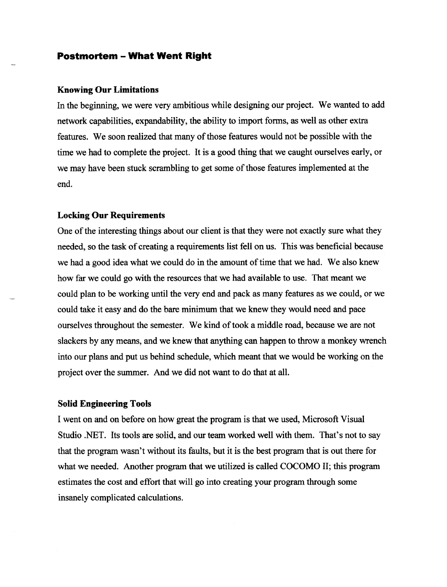#### **Postmortem - What Went Right**

#### **Knowing Our Limitations**

In the beginning, we were very ambitious while designing our project. We wanted to add network capabilities, expandability, the ability to import fonns, as well as other extra features. We soon realized that many of those features would not be possible with the time we had to complete the project. It is a good thing that we caught ourselves early, or we may have been stuck scrambling to get some of those features implemented at the end.

#### **Locking Our Requirements**

One of the interesting things about our client is that they were not exactly sure what they needed, so the task of creating a requirements list fell on us. This was beneficial because we had a good idea what we could do in the amount of time that we had. We also knew how far we could go with the resources that we had available to use. That meant we could plan to be working until the very end and pack as many features as we could, or we could take it easy and do the bare minimum that we knew they would need and pace ourselves throughout the semester. We kind of took a middle road, because we are not slackers by any means, and we knew that anything can happen to throw a monkey wrench into our plans and put us behind schedule, which meant that we would be working on the project over the summer. And we did not want to do that at all.

#### **Solid Engineering Tools**

I went on and on before on how great the program is that we used, Microsoft Visual Studio .NET. Its tools are solid, and our team worked well with them. That's not to say that the program wasn't without its faults, but it is the best program that is out there for what we needed. Another program that we utilized is called COCOMO II; this program estimates the cost and effort that will go into creating your program through some insanely complicated calculations.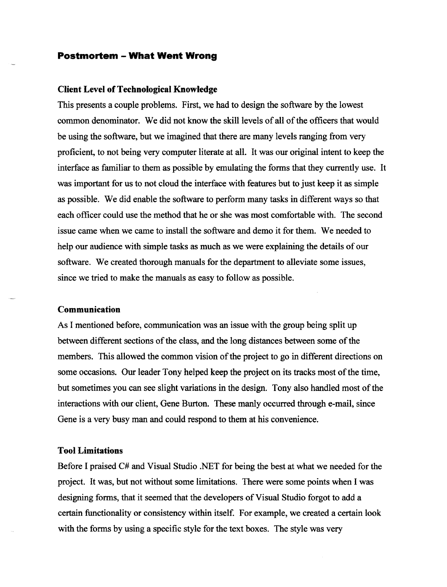#### **Postmortem - What Went Wrong**

#### **Client Level of Technological Knowledge**

This presents a couple problems. First, we had to design the software by the lowest common denominator. We did not know the skill levels of all of the officers that would be using the software, but we imagined that there are many levels ranging from very proficient, to not being very computer literate at all. It was our original intent to keep the interface as familiar to them as possible by emulating the forms that they currently use. It was important for us to not cloud the interface with features but to just keep it as simple as possible. We did enable the software to perform many tasks in different ways so that each officer could use the method that he or she was most comfortable with. The second issue came when we came to install the software and demo it for them. We needed to help our audience with simple tasks as much as we were explaining the details of our software. We created thorough manuals for the department to alleviate some issues, since we tried to make the manuals as easy to follow as possible.

#### **Communication**

As I mentioned before, communication was an issue with the group being split up between different sections of the class, and the long distances between some of the members. This allowed the common vision of the project to go in different directions on some occasions. Our leader Tony helped keep the project on its tracks most of the time, but sometimes you can see slight variations in the design. Tony also handled most of the interactions with our client, Gene Burton. These manly occurred through e-mail, since Gene is a very busy man and could respond to them at his convenience.

#### **Tool Limitations**

Before I praised C# and Visual Studio .NET for being the best at what we needed for the project. It was, but not without some limitations. There were some points when I was designing forms, that it seemed that the developers of Visual Studio forgot to add a certain functionality or consistency within itself. For example, we created a certain look with the forms by using a specific style for the text boxes. The style was very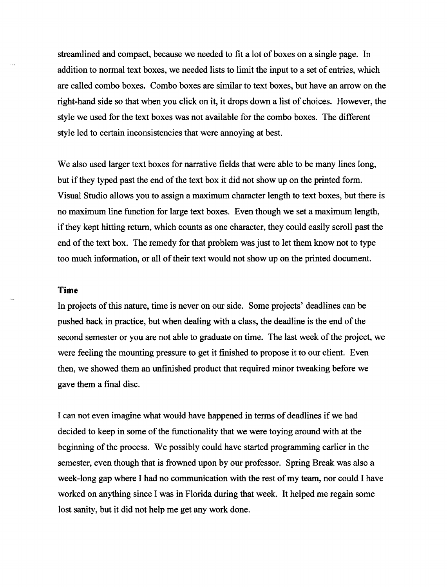streamlined and compact, because we needed to fit a lot of boxes on a single page. In addition to nonnal text boxes, we needed lists to limit the input to a set of entries, which are called combo boxes. Combo boxes are similar to text boxes, but have an arrow on the right-hand side so that when you click on it, it drops down a list of choices. However, the style we used for the text boxes was not available for the combo boxes. The different style led to certain inconsistencies that were annoying at best.

We also used larger text boxes for narrative fields that were able to be many lines long, but if they typed past the end of the text box it did not show up on the printed form. Visual Studio allows you to assign a maximum character length to text boxes, but there is no maximum line function for large text boxes. Even though we set a maximum length, if they kept hitting return, which counts as one character, they could easily scroll past the end of the text box. The remedy for that problem was just to let them know not to type too much infonnation, or all of their text would not show up on the printed document.

#### **Time**

In projects of this nature, time is never on our side. Some projects' deadlines can be pushed back in practice, but when dealing with a class, the deadline is the end of the second semester or you are not able to graduate on time. The last week of the project, we were feeling the mounting pressure to get it finished to propose it to our client. Even then, we showed them an unfinished product that required minor tweaking before we gave them a final disc.

I can not even imagine what would have happened in tenns of deadlines if we had decided to keep in some of the functionality that we were toying around with at the beginning of the process. We possibly could have started programming earlier in the semester, even though that is frowned upon by our professor. Spring Break was also a week-long gap where I had no communication with the rest of my team, nor could I have worked on anything since I was in Florida during that week. It helped me regain some lost sanity, but it did not help me get any work done.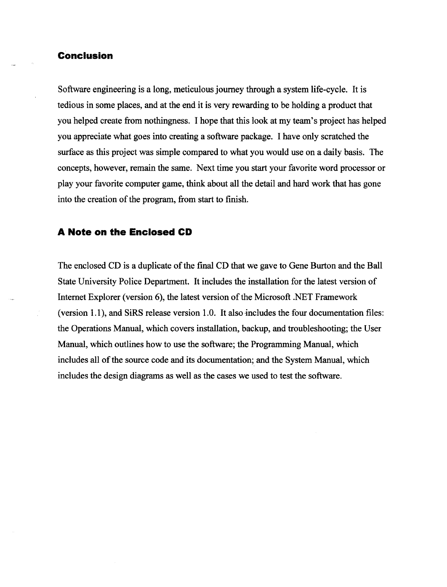## **Conclusion**

Software engineering is a long, meticulous journey through a system life-cycle. It is tedious in some places, and at the end it is very rewarding to be holding a product that you helped create from nothingness. I hope that this look at my team's project has helped you appreciate what goes into creating a software package. I have only scratched the surface as this project was simple compared to what you would use on a daily basis. The concepts, however, remain the same. Next time you start your favorite word processor or play your favorite computer game, think about all the detail and hard work that has gone into the creation of the program, from start to finish.

## **A Note on the Enclosed CD**

The enclosed CD is a duplicate of the final CD that we gave to Gene Burton and the Ball State University Police Department. It includes the installation for the latest version of Internet Explorer (version 6), the latest version of the Microsoft .NET Framework (version 1.1), and SiRS release version 1.0. It also-includes the four documentation files: the Operations Manual, which covers installation, backup, and troubleshooting; the User Manual, which outlines how to use the software; the Programming Manual, which includes all of the source code and its documentation; and the System Manual, which includes the design diagrams as well as the cases we used to test the software.